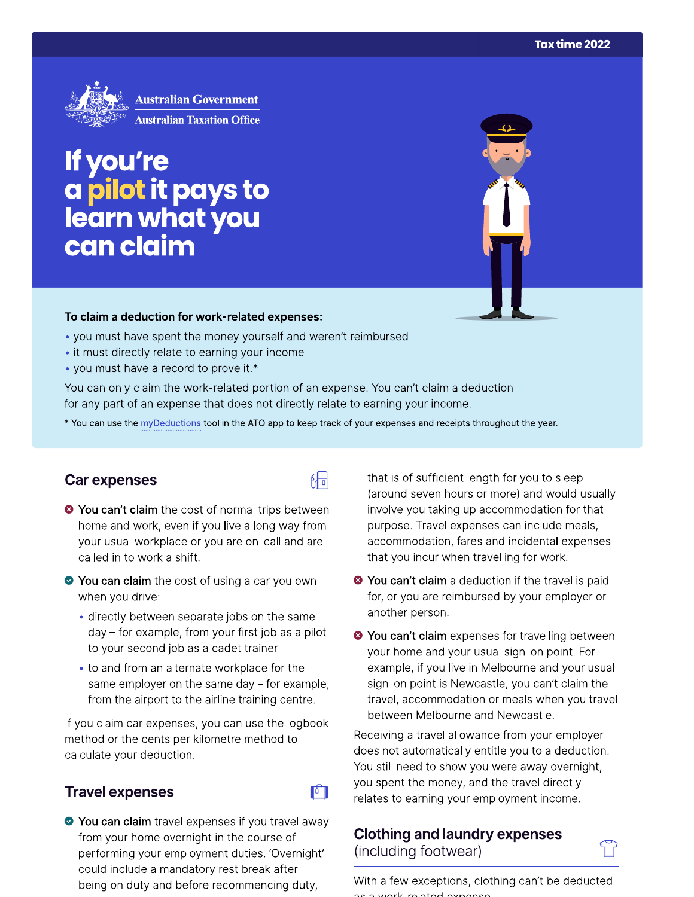

If you're a pilot it pays to<br>learn what you can claim

#### To claim a deduction for work-related expenses:

- you must have spent the money yourself and weren't reimbursed
- it must directly relate to earning your income
- you must have a record to prove it.\*

You can only claim the work-related portion of an expense. You can't claim a deduction for any part of an expense that does not directly relate to earning your income.

\* You can use the myDeductions tool in the ATO app to keep track of your expenses and receipts throughout the year.

品

**F** 

### Car expenses

- <sup>●</sup> You can't claim the cost of normal trips between home and work, even if you live a long way from your usual workplace or you are on-call and are called in to work a shift.
- ◆ You can claim the cost of using a car you own when you drive:
	- · directly between separate jobs on the same day - for example, from your first job as a pilot to your second job as a cadet trainer
	- to and from an alternate workplace for the same employer on the same day  $-$  for example, from the airport to the airline training centre.

If you claim car expenses, you can use the logbook method or the cents per kilometre method to calculate your deduction.

### **Travel expenses**

◆ You can claim travel expenses if you travel away from your home overnight in the course of performing your employment duties. 'Overnight' could include a mandatory rest break after being on duty and before recommencing duty,

that is of sufficient length for you to sleep (around seven hours or more) and would usually involve you taking up accommodation for that purpose. Travel expenses can include meals, accommodation, fares and incidental expenses that you incur when travelling for work.

- <sup>●</sup> You can't claim a deduction if the travel is paid for, or you are reimbursed by your employer or another person.
- <sup>●</sup> You can't claim expenses for travelling between your home and your usual sign-on point. For example, if you live in Melbourne and your usual sign-on point is Newcastle, you can't claim the travel, accommodation or meals when you travel between Melbourne and Newcastle.

Receiving a travel allowance from your employer does not automatically entitle you to a deduction. You still need to show you were away overnight, you spent the money, and the travel directly relates to earning your employment income.

### **Clothing and laundry expenses** (including footwear)

With a few exceptions, clothing can't be deducted work roloted overage